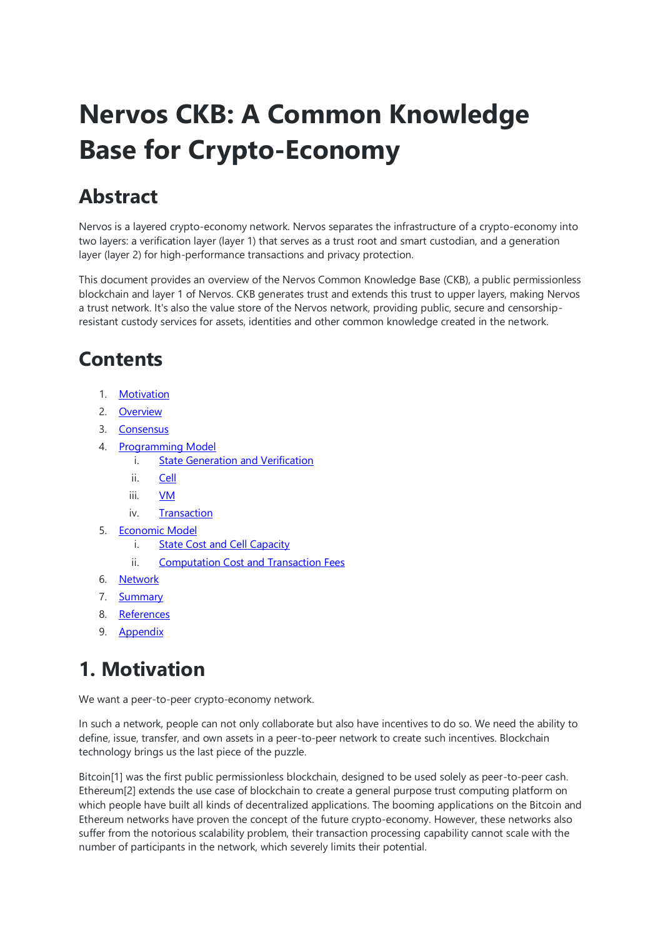# **Nervos CKB: A Common Knowledge Base for Crypto-Economy**

### **Abstract**

Nervos is a layered crypto-economy network. Nervos separates the infrastructure of a crypto-economy into two layers: a verification layer (layer 1) that serves as a trust root and smart custodian, and a generation layer (layer 2) for high-performance transactions and privacy protection.

This document provides an overview of the Nervos Common Knowledge Base (CKB), a public permissionless blockchain and layer 1 of Nervos. CKB generates trust and extends this trust to upper layers, making Nervos a trust network. It's also the value store of the Nervos network, providing public, secure and censorshipresistant custody services for assets, identities and other common knowledge created in the network.

### **Contents**

- 1. [Motivation](https://github.com/nervosnetwork/rfcs/blob/master/rfcs/0002-ckb/0002-ckb.md#1-motivation)
- 2. [Overview](https://github.com/nervosnetwork/rfcs/blob/master/rfcs/0002-ckb/0002-ckb.md#2-overview)
- 3. [Consensus](https://github.com/nervosnetwork/rfcs/blob/master/rfcs/0002-ckb/0002-ckb.md#3-consensus)
- 4. [Programming Model](https://github.com/nervosnetwork/rfcs/blob/master/rfcs/0002-ckb/0002-ckb.md#4-programming-model)
	- i. [State Generation and Verification](https://github.com/nervosnetwork/rfcs/blob/master/rfcs/0002-ckb/0002-ckb.md#41-state-generation-and-verification)
		- ii. [Cell](https://github.com/nervosnetwork/rfcs/blob/master/rfcs/0002-ckb/0002-ckb.md#42-cell)
		- iii. [VM](https://github.com/nervosnetwork/rfcs/blob/master/rfcs/0002-ckb/0002-ckb.md#43-vm)
		- iv. [Transaction](https://github.com/nervosnetwork/rfcs/blob/master/rfcs/0002-ckb/0002-ckb.md#44-transaction)
- 5. [Economic Model](https://github.com/nervosnetwork/rfcs/blob/master/rfcs/0002-ckb/0002-ckb.md#5-economic-model)
	- i. [State Cost and Cell Capacity](https://github.com/nervosnetwork/rfcs/blob/master/rfcs/0002-ckb/0002-ckb.md#51-state-cost-and-cell-capacity)
	- ii. [Computation Cost and Transaction Fees](https://github.com/nervosnetwork/rfcs/blob/master/rfcs/0002-ckb/0002-ckb.md#52-computation-cost-and-transaction-fees)
- 6. [Network](https://github.com/nervosnetwork/rfcs/blob/master/rfcs/0002-ckb/0002-ckb.md#6-network)
- 7. [Summary](https://github.com/nervosnetwork/rfcs/blob/master/rfcs/0002-ckb/0002-ckb.md#7-summary)
- 8. [References](https://github.com/nervosnetwork/rfcs/blob/master/rfcs/0002-ckb/0002-ckb.md#8-references)
- 9. [Appendix](https://github.com/nervosnetwork/rfcs/blob/master/rfcs/0002-ckb/0002-ckb.md#9-appendix)

## **1. Motivation**

We want a peer-to-peer crypto-economy network.

In such a network, people can not only collaborate but also have incentives to do so. We need the ability to define, issue, transfer, and own assets in a peer-to-peer network to create such incentives. Blockchain technology brings us the last piece of the puzzle.

Bitcoin[1] was the first public permissionless blockchain, designed to be used solely as peer-to-peer cash. Ethereum[2] extends the use case of blockchain to create a general purpose trust computing platform on which people have built all kinds of decentralized applications. The booming applications on the Bitcoin and Ethereum networks have proven the concept of the future crypto-economy. However, these networks also suffer from the notorious scalability problem, their transaction processing capability cannot scale with the number of participants in the network, which severely limits their potential.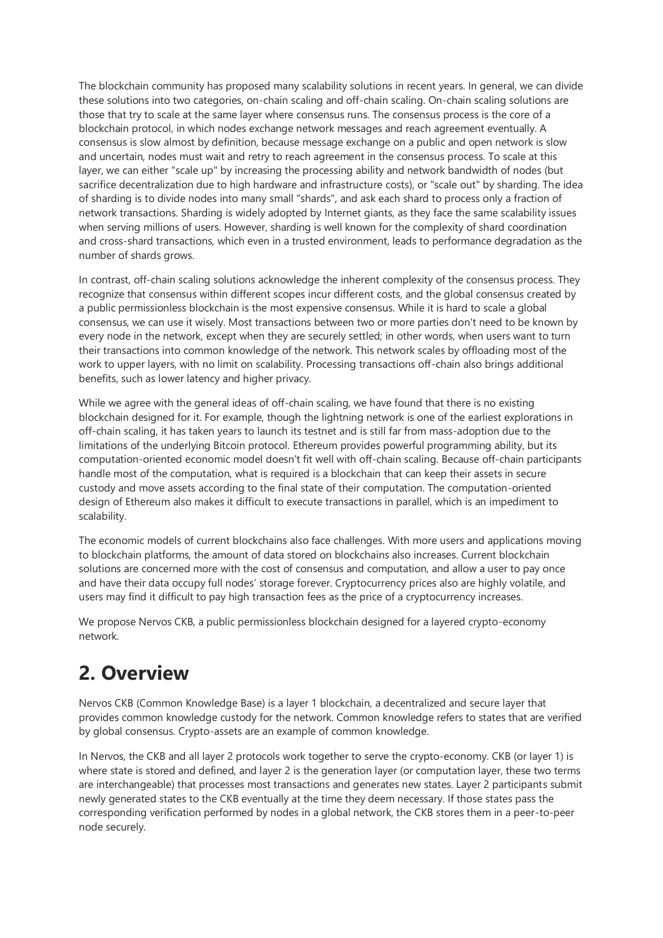The blockchain community has proposed many scalability solutions in recent years. In general, we can divide these solutions into two categories, on-chain scaling and off-chain scaling. On-chain scaling solutions are those that try to scale at the same layer where consensus runs. The consensus process is the core of a blockchain protocol, in which nodes exchange network messages and reach agreement eventually. A consensus is slow almost by definition, because message exchange on a public and open network is slow and uncertain, nodes must wait and retry to reach agreement in the consensus process. To scale at this layer, we can either "scale up" by increasing the processing ability and network bandwidth of nodes (but sacrifice decentralization due to high hardware and infrastructure costs), or "scale out" by sharding. The idea of sharding is to divide nodes into many small "shards", and ask each shard to process only a fraction of network transactions. Sharding is widely adopted by Internet giants, as they face the same scalability issues when serving millions of users. However, sharding is well known for the complexity of shard coordination and cross-shard transactions, which even in a trusted environment, leads to performance degradation as the number of shards grows.

In contrast, off-chain scaling solutions acknowledge the inherent complexity of the consensus process. They recognize that consensus within different scopes incur different costs, and the global consensus created by a public permissionless blockchain is the most expensive consensus. While it is hard to scale a global consensus, we can use it wisely. Most transactions between two or more parties don't need to be known by every node in the network, except when they are securely settled; in other words, when users want to turn their transactions into common knowledge of the network. This network scales by offloading most of the work to upper layers, with no limit on scalability. Processing transactions off-chain also brings additional benefits, such as lower latency and higher privacy.

While we agree with the general ideas of off-chain scaling, we have found that there is no existing blockchain designed for it. For example, though the lightning network is one of the earliest explorations in off-chain scaling, it has taken years to launch its testnet and is still far from mass-adoption due to the limitations of the underlying Bitcoin protocol. Ethereum provides powerful programming ability, but its computation-oriented economic model doesn't fit well with off-chain scaling. Because off-chain participants handle most of the computation, what is required is a blockchain that can keep their assets in secure custody and move assets according to the final state of their computation. The computation-oriented design of Ethereum also makes it difficult to execute transactions in parallel, which is an impediment to scalability.

The economic models of current blockchains also face challenges. With more users and applications moving to blockchain platforms, the amount of data stored on blockchains also increases. Current blockchain solutions are concerned more with the cost of consensus and computation, and allow a user to pay once and have their data occupy full nodes' storage forever. Cryptocurrency prices also are highly volatile, and users may find it difficult to pay high transaction fees as the price of a cryptocurrency increases.

We propose Nervos CKB, a public permissionless blockchain designed for a layered crypto-economy network.

### **2. Overview**

Nervos CKB (Common Knowledge Base) is a layer 1 blockchain, a decentralized and secure layer that provides common knowledge custody for the network. Common knowledge refers to states that are verified by global consensus. Crypto-assets are an example of common knowledge.

In Nervos, the CKB and all layer 2 protocols work together to serve the crypto-economy. CKB (or layer 1) is where state is stored and defined, and layer 2 is the generation layer (or computation layer, these two terms are interchangeable) that processes most transactions and generates new states. Layer 2 participants submit newly generated states to the CKB eventually at the time they deem necessary. If those states pass the corresponding verification performed by nodes in a global network, the CKB stores them in a peer-to-peer node securely.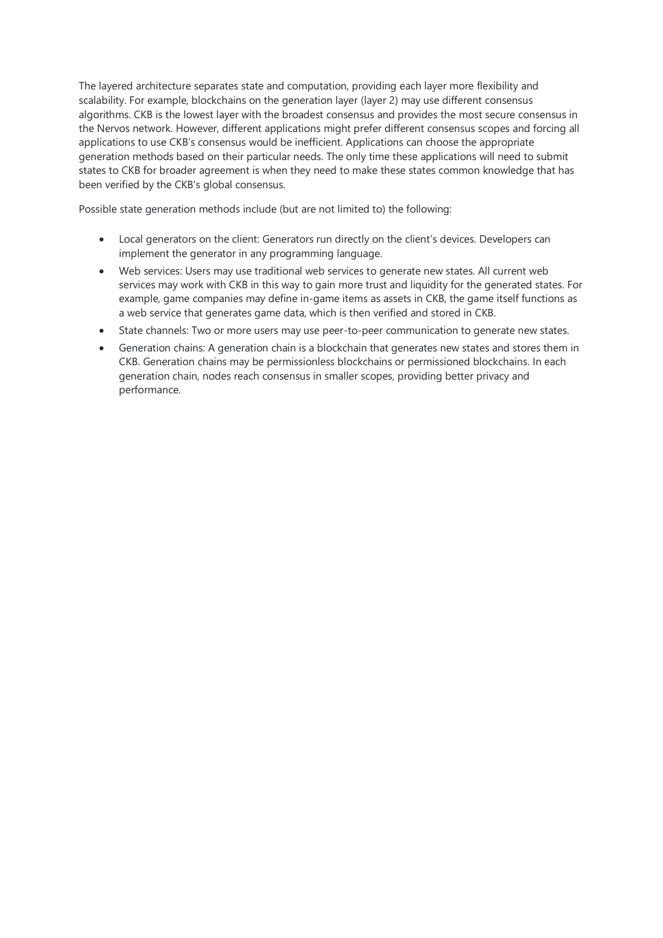The layered architecture separates state and computation, providing each layer more flexibility and scalability. For example, blockchains on the generation layer (layer 2) may use different consensus algorithms. CKB is the lowest layer with the broadest consensus and provides the most secure consensus in the Nervos network. However, different applications might prefer different consensus scopes and forcing all applications to use CKB's consensus would be inefficient. Applications can choose the appropriate generation methods based on their particular needs. The only time these applications will need to submit states to CKB for broader agreement is when they need to make these states common knowledge that has been verified by the CKB's global consensus.

Possible state generation methods include (but are not limited to) the following:

- Local generators on the client: Generators run directly on the client's devices. Developers can implement the generator in any programming language.
- Web services: Users may use traditional web services to generate new states. All current web services may work with CKB in this way to gain more trust and liquidity for the generated states. For example, game companies may define in-game items as assets in CKB, the game itself functions as a web service that generates game data, which is then verified and stored in CKB.
- State channels: Two or more users may use peer-to-peer communication to generate new states.
- Generation chains: A generation chain is a blockchain that generates new states and stores them in CKB. Generation chains may be permissionless blockchains or permissioned blockchains. In each generation chain, nodes reach consensus in smaller scopes, providing better privacy and performance.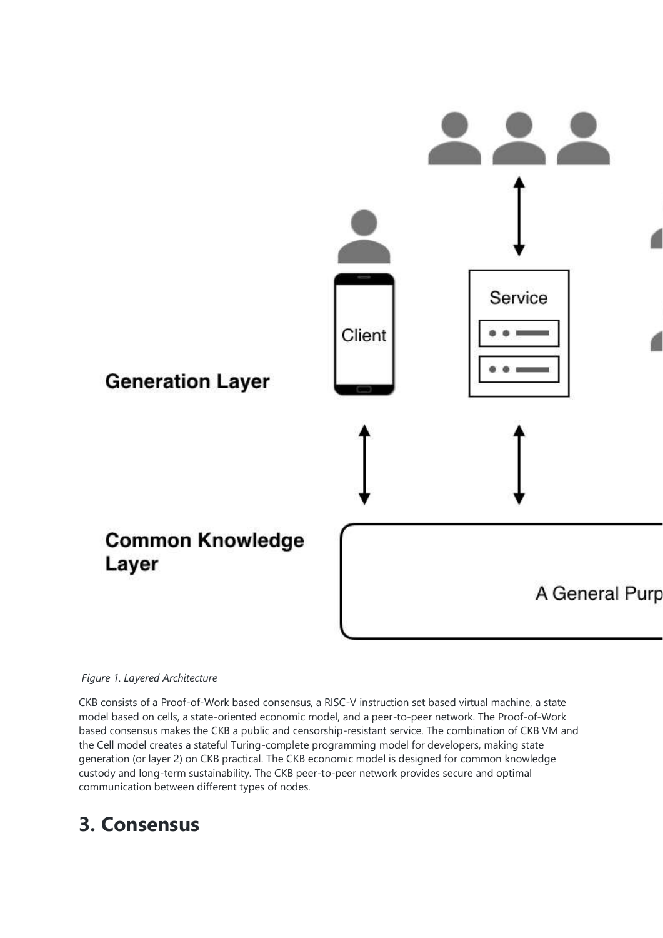

#### *Figure 1. Layered Architecture*

CKB consists of a Proof-of-Work based consensus, a RISC-V instruction set based virtual machine, a state model based on cells, a state-oriented economic model, and a peer-to-peer network. The Proof-of-Work based consensus makes the CKB a public and censorship-resistant service. The combination of CKB VM and the Cell model creates a stateful Turing-complete programming model for developers, making state generation (or layer 2) on CKB practical. The CKB economic model is designed for common knowledge custody and long-term sustainability. The CKB peer-to-peer network provides secure and optimal communication between different types of nodes.

### **3. Consensus**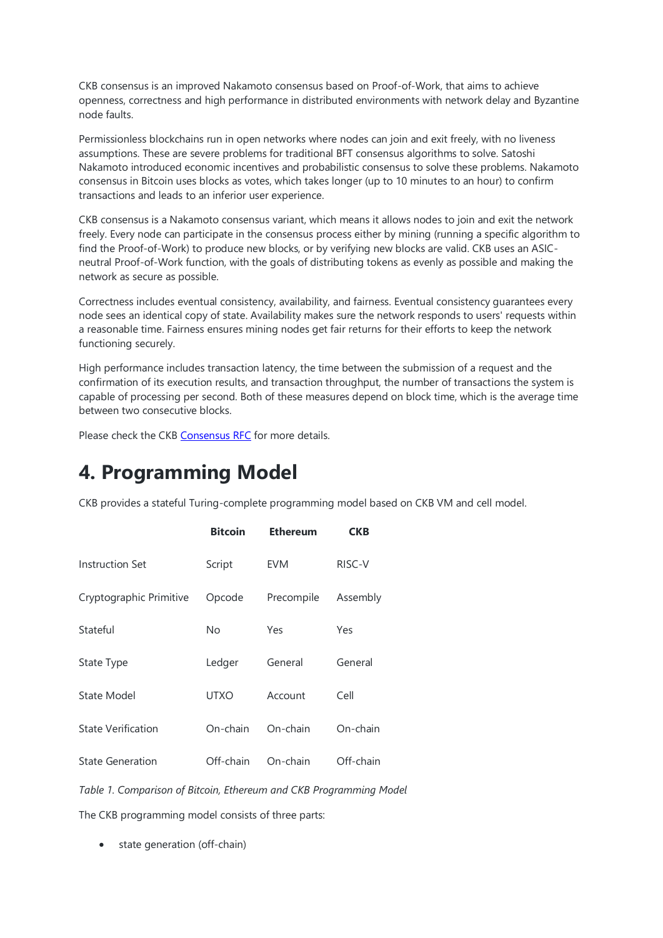CKB consensus is an improved Nakamoto consensus based on Proof-of-Work, that aims to achieve openness, correctness and high performance in distributed environments with network delay and Byzantine node faults.

Permissionless blockchains run in open networks where nodes can join and exit freely, with no liveness assumptions. These are severe problems for traditional BFT consensus algorithms to solve. Satoshi Nakamoto introduced economic incentives and probabilistic consensus to solve these problems. Nakamoto consensus in Bitcoin uses blocks as votes, which takes longer (up to 10 minutes to an hour) to confirm transactions and leads to an inferior user experience.

CKB consensus is a Nakamoto consensus variant, which means it allows nodes to join and exit the network freely. Every node can participate in the consensus process either by mining (running a specific algorithm to find the Proof-of-Work) to produce new blocks, or by verifying new blocks are valid. CKB uses an ASICneutral Proof-of-Work function, with the goals of distributing tokens as evenly as possible and making the network as secure as possible.

Correctness includes eventual consistency, availability, and fairness. Eventual consistency guarantees every node sees an identical copy of state. Availability makes sure the network responds to users' requests within a reasonable time. Fairness ensures mining nodes get fair returns for their efforts to keep the network functioning securely.

High performance includes transaction latency, the time between the submission of a request and the confirmation of its execution results, and transaction throughput, the number of transactions the system is capable of processing per second. Both of these measures depend on block time, which is the average time between two consecutive blocks.

Please check the CKB [Consensus RFC](https://github.com/nirenzang/rfcs/blob/master/rfcs/0020-ckb-consensus-protocol/0020-ckb-consensus-protocol.md) for more details.

### **4. Programming Model**

CKB provides a stateful Turing-complete programming model based on CKB VM and cell model.

|                           | <b>Bitcoin</b> | <b>Ethereum</b> | <b>CKB</b> |
|---------------------------|----------------|-----------------|------------|
| Instruction Set           | Script         | EVM             | RISC-V     |
| Cryptographic Primitive   | Opcode         | Precompile      | Assembly   |
| Stateful                  | No             | Yes             | Yes        |
| State Type                | Ledger         | General         | General    |
| State Model               | <b>UTXO</b>    | Account         | Cell       |
| <b>State Verification</b> | On-chain       | On-chain        | On-chain   |
| <b>State Generation</b>   | Off-chain      | On-chain        | Off-chain  |
|                           |                |                 |            |

*Table 1. Comparison of Bitcoin, Ethereum and CKB Programming Model*

The CKB programming model consists of three parts:

• state generation (off-chain)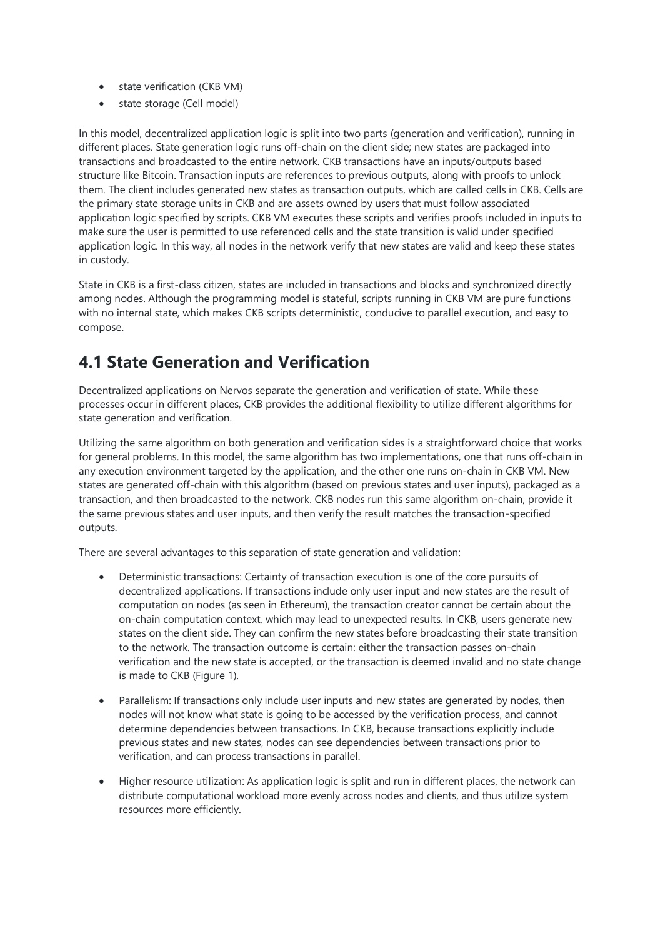- state verification (CKB VM)
- state storage (Cell model)

In this model, decentralized application logic is split into two parts (generation and verification), running in different places. State generation logic runs off-chain on the client side; new states are packaged into transactions and broadcasted to the entire network. CKB transactions have an inputs/outputs based structure like Bitcoin. Transaction inputs are references to previous outputs, along with proofs to unlock them. The client includes generated new states as transaction outputs, which are called cells in CKB. Cells are the primary state storage units in CKB and are assets owned by users that must follow associated application logic specified by scripts. CKB VM executes these scripts and verifies proofs included in inputs to make sure the user is permitted to use referenced cells and the state transition is valid under specified application logic. In this way, all nodes in the network verify that new states are valid and keep these states in custody.

State in CKB is a first-class citizen, states are included in transactions and blocks and synchronized directly among nodes. Although the programming model is stateful, scripts running in CKB VM are pure functions with no internal state, which makes CKB scripts deterministic, conducive to parallel execution, and easy to compose.

#### **4.1 State Generation and Verification**

Decentralized applications on Nervos separate the generation and verification of state. While these processes occur in different places, CKB provides the additional flexibility to utilize different algorithms for state generation and verification.

Utilizing the same algorithm on both generation and verification sides is a straightforward choice that works for general problems. In this model, the same algorithm has two implementations, one that runs off-chain in any execution environment targeted by the application, and the other one runs on-chain in CKB VM. New states are generated off-chain with this algorithm (based on previous states and user inputs), packaged as a transaction, and then broadcasted to the network. CKB nodes run this same algorithm on-chain, provide it the same previous states and user inputs, and then verify the result matches the transaction-specified outputs.

There are several advantages to this separation of state generation and validation:

- Deterministic transactions: Certainty of transaction execution is one of the core pursuits of decentralized applications. If transactions include only user input and new states are the result of computation on nodes (as seen in Ethereum), the transaction creator cannot be certain about the on-chain computation context, which may lead to unexpected results. In CKB, users generate new states on the client side. They can confirm the new states before broadcasting their state transition to the network. The transaction outcome is certain: either the transaction passes on-chain verification and the new state is accepted, or the transaction is deemed invalid and no state change is made to CKB (Figure 1).
- Parallelism: If transactions only include user inputs and new states are generated by nodes, then nodes will not know what state is going to be accessed by the verification process, and cannot determine dependencies between transactions. In CKB, because transactions explicitly include previous states and new states, nodes can see dependencies between transactions prior to verification, and can process transactions in parallel.
- Higher resource utilization: As application logic is split and run in different places, the network can distribute computational workload more evenly across nodes and clients, and thus utilize system resources more efficiently.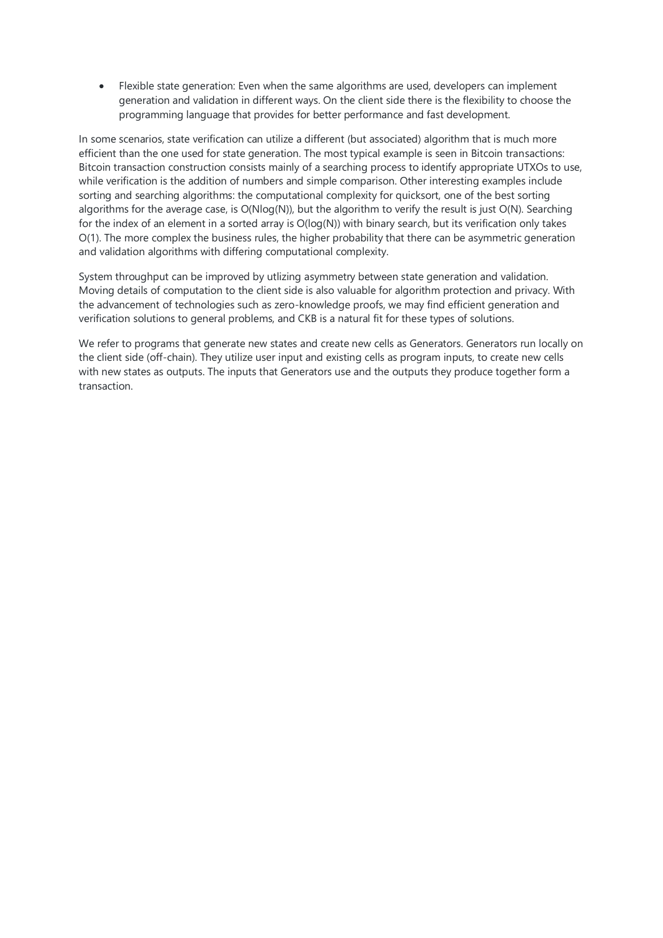Flexible state generation: Even when the same algorithms are used, developers can implement generation and validation in different ways. On the client side there is the flexibility to choose the programming language that provides for better performance and fast development.

In some scenarios, state verification can utilize a different (but associated) algorithm that is much more efficient than the one used for state generation. The most typical example is seen in Bitcoin transactions: Bitcoin transaction construction consists mainly of a searching process to identify appropriate UTXOs to use, while verification is the addition of numbers and simple comparison. Other interesting examples include sorting and searching algorithms: the computational complexity for quicksort, one of the best sorting algorithms for the average case, is O(Nlog(N)), but the algorithm to verify the result is just O(N). Searching for the index of an element in a sorted array is O(log(N)) with binary search, but its verification only takes O(1). The more complex the business rules, the higher probability that there can be asymmetric generation and validation algorithms with differing computational complexity.

System throughput can be improved by utlizing asymmetry between state generation and validation. Moving details of computation to the client side is also valuable for algorithm protection and privacy. With the advancement of technologies such as zero-knowledge proofs, we may find efficient generation and verification solutions to general problems, and CKB is a natural fit for these types of solutions.

We refer to programs that generate new states and create new cells as Generators. Generators run locally on the client side (off-chain). They utilize user input and existing cells as program inputs, to create new cells with new states as outputs. The inputs that Generators use and the outputs they produce together form a transaction.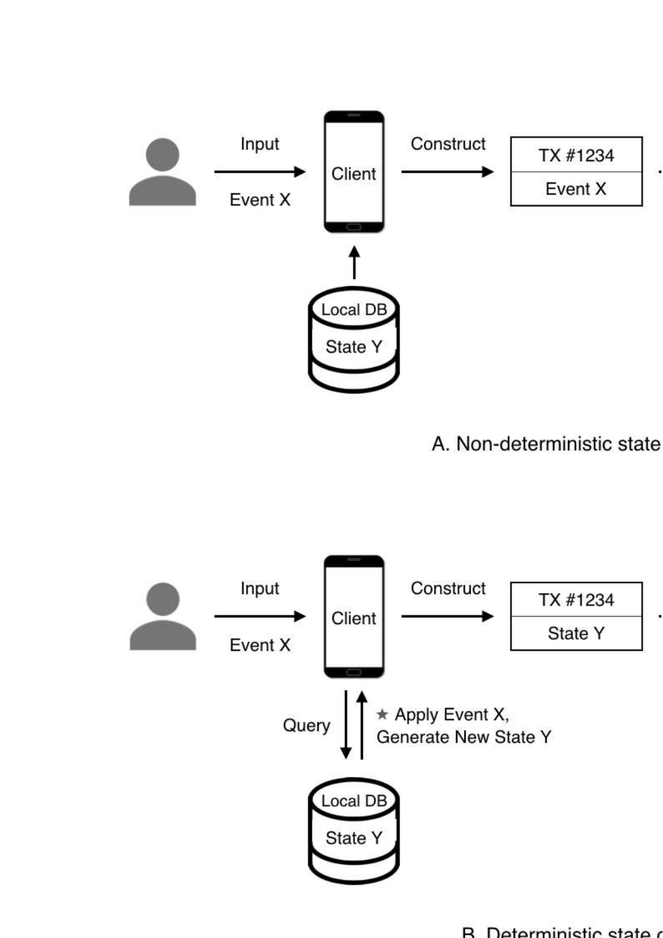

A. Non-deterministic state



R Deterministic state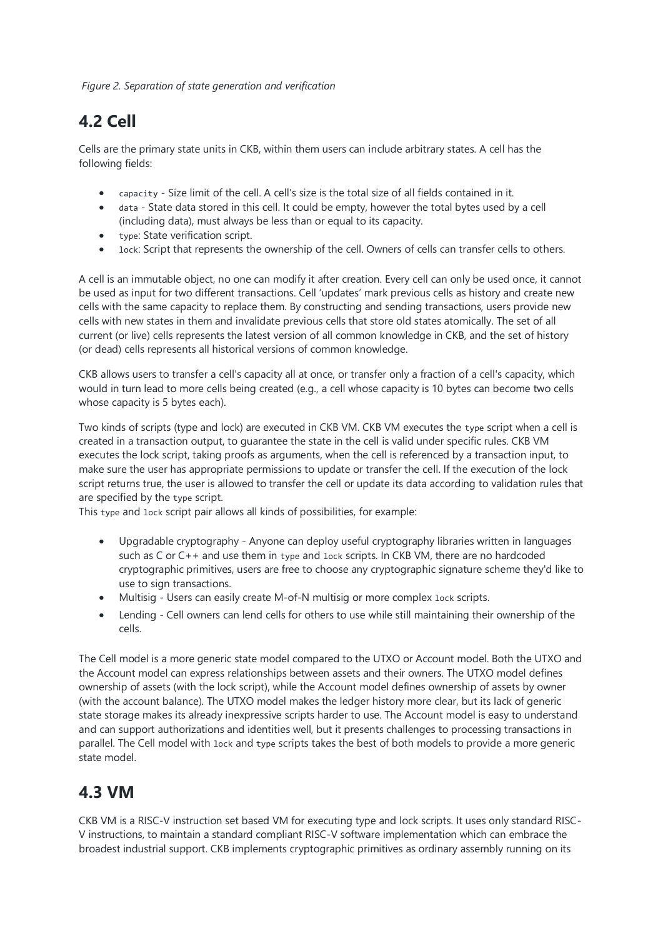*Figure 2. Separation of state generation and verification*

#### **4.2 Cell**

Cells are the primary state units in CKB, within them users can include arbitrary states. A cell has the following fields:

- capacity Size limit of the cell. A cell's size is the total size of all fields contained in it.
- data State data stored in this cell. It could be empty, however the total bytes used by a cell (including data), must always be less than or equal to its capacity.
- type: State verification script.
- lock: Script that represents the ownership of the cell. Owners of cells can transfer cells to others.

A cell is an immutable object, no one can modify it after creation. Every cell can only be used once, it cannot be used as input for two different transactions. Cell 'updates' mark previous cells as history and create new cells with the same capacity to replace them. By constructing and sending transactions, users provide new cells with new states in them and invalidate previous cells that store old states atomically. The set of all current (or live) cells represents the latest version of all common knowledge in CKB, and the set of history (or dead) cells represents all historical versions of common knowledge.

CKB allows users to transfer a cell's capacity all at once, or transfer only a fraction of a cell's capacity, which would in turn lead to more cells being created (e.g., a cell whose capacity is 10 bytes can become two cells whose capacity is 5 bytes each).

Two kinds of scripts (type and lock) are executed in CKB VM. CKB VM executes the type script when a cell is created in a transaction output, to guarantee the state in the cell is valid under specific rules. CKB VM executes the lock script, taking proofs as arguments, when the cell is referenced by a transaction input, to make sure the user has appropriate permissions to update or transfer the cell. If the execution of the lock script returns true, the user is allowed to transfer the cell or update its data according to validation rules that are specified by the type script.

This type and lock script pair allows all kinds of possibilities, for example:

- Upgradable cryptography Anyone can deploy useful cryptography libraries written in languages such as C or C++ and use them in type and lock scripts. In CKB VM, there are no hardcoded cryptographic primitives, users are free to choose any cryptographic signature scheme they'd like to use to sign transactions.
- Multisig Users can easily create M-of-N multisig or more complex lock scripts.
- Lending Cell owners can lend cells for others to use while still maintaining their ownership of the cells.

The Cell model is a more generic state model compared to the UTXO or Account model. Both the UTXO and the Account model can express relationships between assets and their owners. The UTXO model defines ownership of assets (with the lock script), while the Account model defines ownership of assets by owner (with the account balance). The UTXO model makes the ledger history more clear, but its lack of generic state storage makes its already inexpressive scripts harder to use. The Account model is easy to understand and can support authorizations and identities well, but it presents challenges to processing transactions in parallel. The Cell model with lock and type scripts takes the best of both models to provide a more generic state model.

#### **4.3 VM**

CKB VM is a RISC-V instruction set based VM for executing type and lock scripts. It uses only standard RISC-V instructions, to maintain a standard compliant RISC-V software implementation which can embrace the broadest industrial support. CKB implements cryptographic primitives as ordinary assembly running on its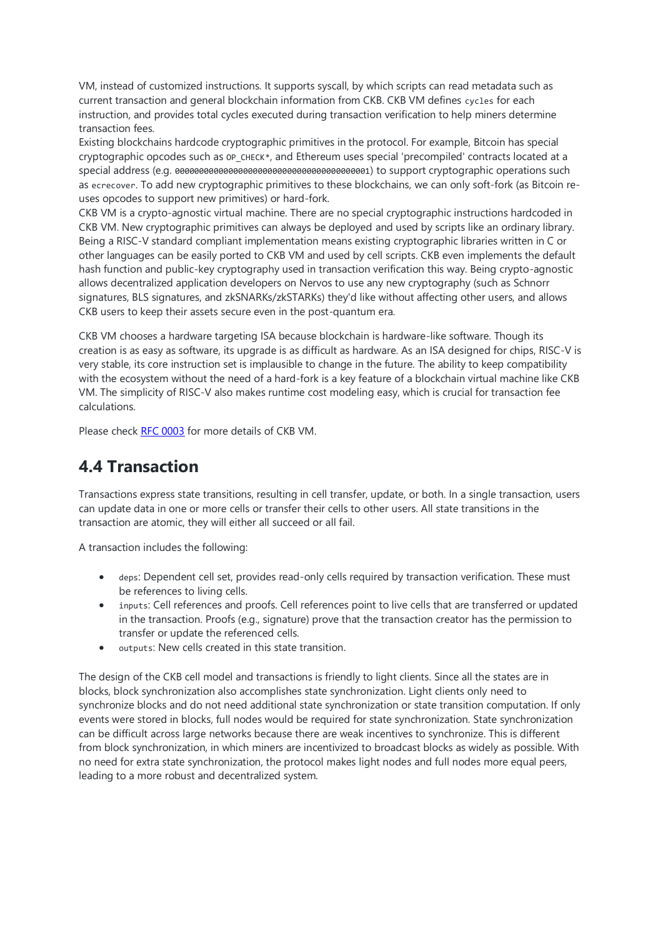VM, instead of customized instructions. It supports syscall, by which scripts can read metadata such as current transaction and general blockchain information from CKB. CKB VM defines cycles for each instruction, and provides total cycles executed during transaction verification to help miners determine transaction fees.

Existing blockchains hardcode cryptographic primitives in the protocol. For example, Bitcoin has special cryptographic opcodes such as  $OP$  CHECK\*, and Ethereum uses special 'precompiled' contracts located at a special address (e.g. 0000000000000000000000000000000000000001) to support cryptographic operations such as ecrecover. To add new cryptographic primitives to these blockchains, we can only soft-fork (as Bitcoin reuses opcodes to support new primitives) or hard-fork.

CKB VM is a crypto-agnostic virtual machine. There are no special cryptographic instructions hardcoded in CKB VM. New cryptographic primitives can always be deployed and used by scripts like an ordinary library. Being a RISC-V standard compliant implementation means existing cryptographic libraries written in C or other languages can be easily ported to CKB VM and used by cell scripts. CKB even implements the default hash function and public-key cryptography used in transaction verification this way. Being crypto-agnostic allows decentralized application developers on Nervos to use any new cryptography (such as Schnorr signatures, BLS signatures, and zkSNARKs/zkSTARKs) they'd like without affecting other users, and allows CKB users to keep their assets secure even in the post-quantum era.

CKB VM chooses a hardware targeting ISA because blockchain is hardware-like software. Though its creation is as easy as software, its upgrade is as difficult as hardware. As an ISA designed for chips, RISC-V is very stable, its core instruction set is implausible to change in the future. The ability to keep compatibility with the ecosystem without the need of a hard-fork is a key feature of a blockchain virtual machine like CKB VM. The simplicity of RISC-V also makes runtime cost modeling easy, which is crucial for transaction fee calculations.

Please check [RFC 0003](https://github.com/nervosnetwork/rfcs/blob/master/rfcs/0003-ckb-vm/0003-ckb-vm.md) for more details of CKB VM.

#### **4.4 Transaction**

Transactions express state transitions, resulting in cell transfer, update, or both. In a single transaction, users can update data in one or more cells or transfer their cells to other users. All state transitions in the transaction are atomic, they will either all succeed or all fail.

A transaction includes the following:

- deps: Dependent cell set, provides read-only cells required by transaction verification. These must be references to living cells.
- inputs: Cell references and proofs. Cell references point to live cells that are transferred or updated in the transaction. Proofs (e.g., signature) prove that the transaction creator has the permission to transfer or update the referenced cells.
- outputs: New cells created in this state transition.

The design of the CKB cell model and transactions is friendly to light clients. Since all the states are in blocks, block synchronization also accomplishes state synchronization. Light clients only need to synchronize blocks and do not need additional state synchronization or state transition computation. If only events were stored in blocks, full nodes would be required for state synchronization. State synchronization can be difficult across large networks because there are weak incentives to synchronize. This is different from block synchronization, in which miners are incentivized to broadcast blocks as widely as possible. With no need for extra state synchronization, the protocol makes light nodes and full nodes more equal peers, leading to a more robust and decentralized system.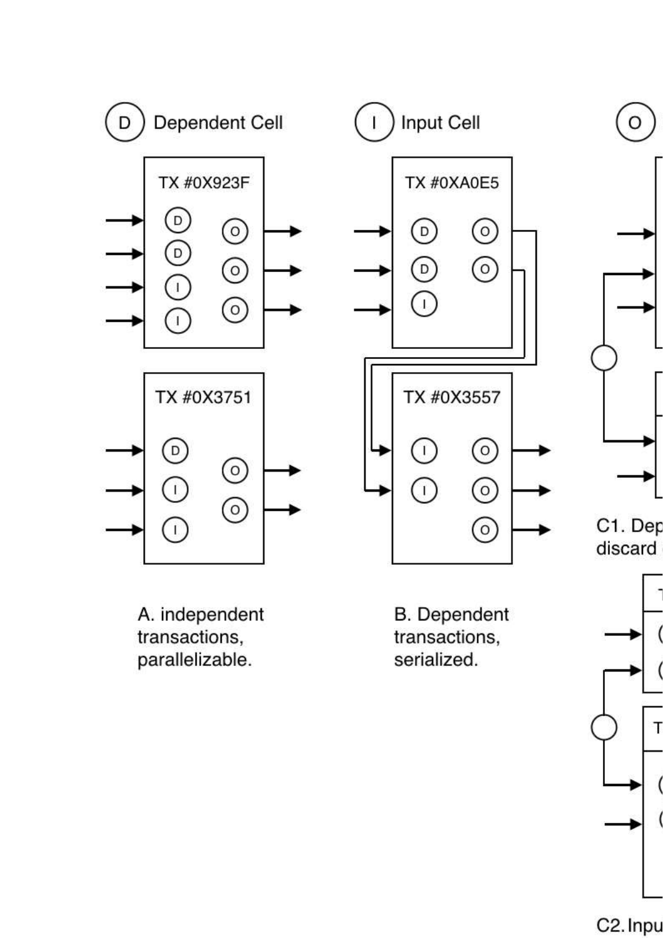

A. independent transactions, parallelizable.

**B.** Dependent transactions, serialized.



C2. Inpu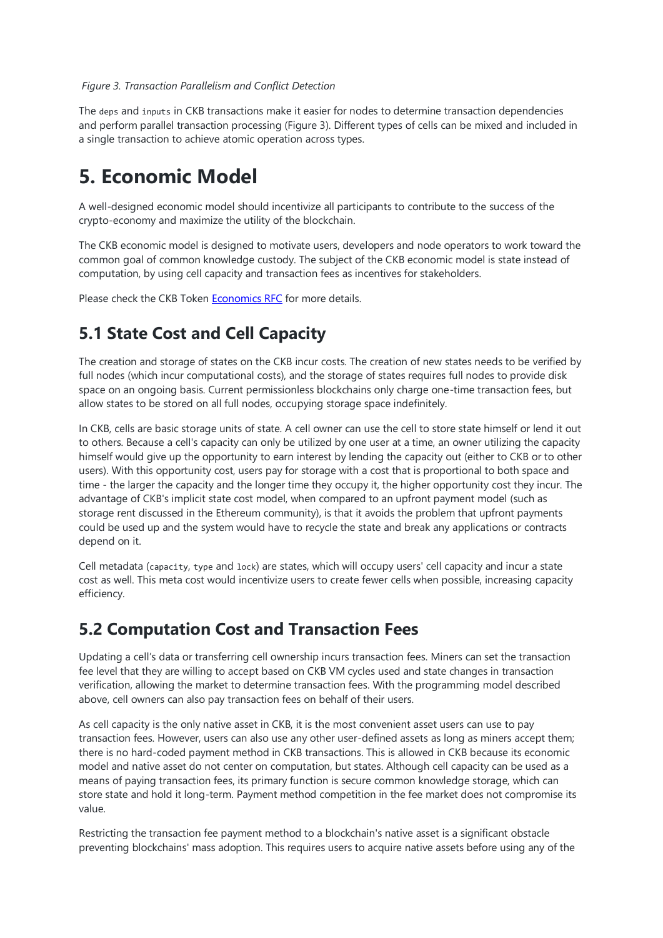#### *Figure 3. Transaction Parallelism and Conflict Detection*

The deps and inputs in CKB transactions make it easier for nodes to determine transaction dependencies and perform parallel transaction processing (Figure 3). Different types of cells can be mixed and included in a single transaction to achieve atomic operation across types.

### **5. Economic Model**

A well-designed economic model should incentivize all participants to contribute to the success of the crypto-economy and maximize the utility of the blockchain.

The CKB economic model is designed to motivate users, developers and node operators to work toward the common goal of common knowledge custody. The subject of the CKB economic model is state instead of computation, by using cell capacity and transaction fees as incentives for stakeholders.

Please check the CKB Token **[Economics RFC](https://github.com/nervosnetwork/rfcs/blob/master/rfcs/0015-ckb-cryptoeconomics/0015-ckb-cryptoeconomics.md)** for more details.

#### **5.1 State Cost and Cell Capacity**

The creation and storage of states on the CKB incur costs. The creation of new states needs to be verified by full nodes (which incur computational costs), and the storage of states requires full nodes to provide disk space on an ongoing basis. Current permissionless blockchains only charge one-time transaction fees, but allow states to be stored on all full nodes, occupying storage space indefinitely.

In CKB, cells are basic storage units of state. A cell owner can use the cell to store state himself or lend it out to others. Because a cell's capacity can only be utilized by one user at a time, an owner utilizing the capacity himself would give up the opportunity to earn interest by lending the capacity out (either to CKB or to other users). With this opportunity cost, users pay for storage with a cost that is proportional to both space and time - the larger the capacity and the longer time they occupy it, the higher opportunity cost they incur. The advantage of CKB's implicit state cost model, when compared to an upfront payment model (such as storage rent discussed in the Ethereum community), is that it avoids the problem that upfront payments could be used up and the system would have to recycle the state and break any applications or contracts depend on it.

Cell metadata (capacity, type and lock) are states, which will occupy users' cell capacity and incur a state cost as well. This meta cost would incentivize users to create fewer cells when possible, increasing capacity efficiency.

#### **5.2 Computation Cost and Transaction Fees**

Updating a cell's data or transferring cell ownership incurs transaction fees. Miners can set the transaction fee level that they are willing to accept based on CKB VM cycles used and state changes in transaction verification, allowing the market to determine transaction fees. With the programming model described above, cell owners can also pay transaction fees on behalf of their users.

As cell capacity is the only native asset in CKB, it is the most convenient asset users can use to pay transaction fees. However, users can also use any other user-defined assets as long as miners accept them; there is no hard-coded payment method in CKB transactions. This is allowed in CKB because its economic model and native asset do not center on computation, but states. Although cell capacity can be used as a means of paying transaction fees, its primary function is secure common knowledge storage, which can store state and hold it long-term. Payment method competition in the fee market does not compromise its value.

Restricting the transaction fee payment method to a blockchain's native asset is a significant obstacle preventing blockchains' mass adoption. This requires users to acquire native assets before using any of the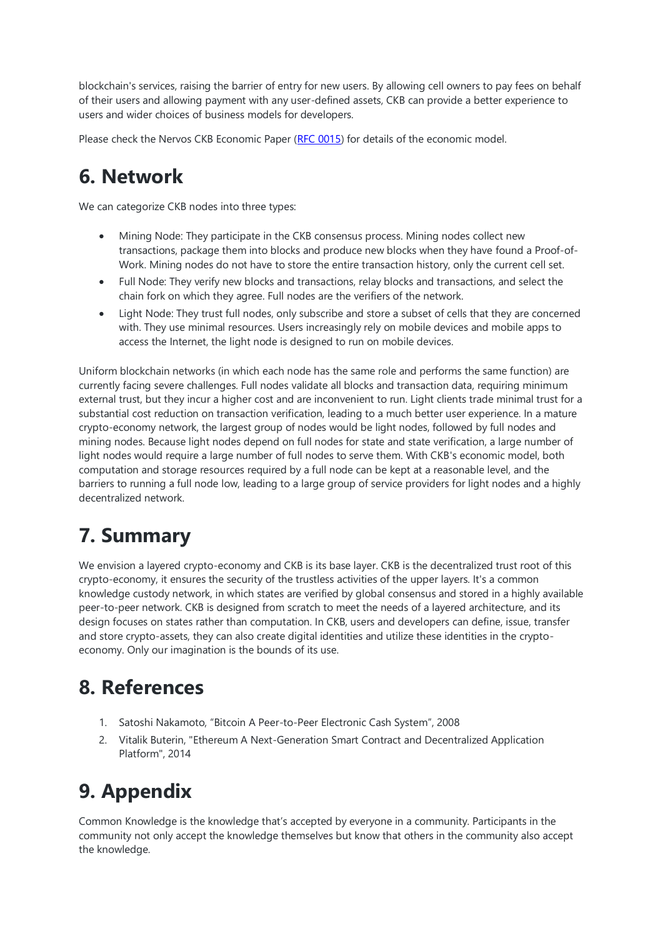blockchain's services, raising the barrier of entry for new users. By allowing cell owners to pay fees on behalf of their users and allowing payment with any user-defined assets, CKB can provide a better experience to users and wider choices of business models for developers.

Please check the Nervos CKB Economic Paper [\(RFC 0015\)](https://github.com/nervosnetwork/rfcs/blob/master/rfcs/0015-ckb-cryptoeconomics/0015-ckb-cryptoeconomics.md) for details of the economic model.

### **6. Network**

We can categorize CKB nodes into three types:

- Mining Node: They participate in the CKB consensus process. Mining nodes collect new transactions, package them into blocks and produce new blocks when they have found a Proof-of-Work. Mining nodes do not have to store the entire transaction history, only the current cell set.
- Full Node: They verify new blocks and transactions, relay blocks and transactions, and select the chain fork on which they agree. Full nodes are the verifiers of the network.
- Light Node: They trust full nodes, only subscribe and store a subset of cells that they are concerned with. They use minimal resources. Users increasingly rely on mobile devices and mobile apps to access the Internet, the light node is designed to run on mobile devices.

Uniform blockchain networks (in which each node has the same role and performs the same function) are currently facing severe challenges. Full nodes validate all blocks and transaction data, requiring minimum external trust, but they incur a higher cost and are inconvenient to run. Light clients trade minimal trust for a substantial cost reduction on transaction verification, leading to a much better user experience. In a mature crypto-economy network, the largest group of nodes would be light nodes, followed by full nodes and mining nodes. Because light nodes depend on full nodes for state and state verification, a large number of light nodes would require a large number of full nodes to serve them. With CKB's economic model, both computation and storage resources required by a full node can be kept at a reasonable level, and the barriers to running a full node low, leading to a large group of service providers for light nodes and a highly decentralized network.

### **7. Summary**

We envision a layered crypto-economy and CKB is its base layer. CKB is the decentralized trust root of this crypto-economy, it ensures the security of the trustless activities of the upper layers. It's a common knowledge custody network, in which states are verified by global consensus and stored in a highly available peer-to-peer network. CKB is designed from scratch to meet the needs of a layered architecture, and its design focuses on states rather than computation. In CKB, users and developers can define, issue, transfer and store crypto-assets, they can also create digital identities and utilize these identities in the cryptoeconomy. Only our imagination is the bounds of its use.

### **8. References**

- 1. Satoshi Nakamoto, "Bitcoin A Peer-to-Peer Electronic Cash System", 2008
- 2. Vitalik Buterin, "Ethereum A Next-Generation Smart Contract and Decentralized Application Platform", 2014

## **9. Appendix**

Common Knowledge is the knowledge that's accepted by everyone in a community. Participants in the community not only accept the knowledge themselves but know that others in the community also accept the knowledge.